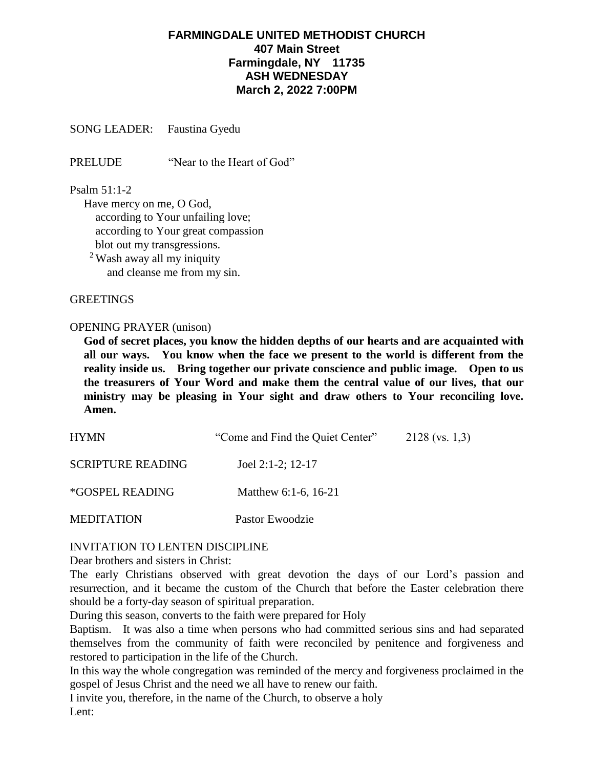# **FARMINGDALE UNITED METHODIST CHURCH 407 Main Street Farmingdale, NY 11735 ASH WEDNESDAY March 2, 2022 7:00PM**

SONG LEADER: Faustina Gyedu

PRELUDE "Near to the Heart of God"

#### Psalm 51:1-2

Have mercy on me, O God, according to Your unfailing love; according to Your great compassion blot out my transgressions.

<sup>2</sup> Wash away all my iniquity and cleanse me from my sin.

#### **GREETINGS**

#### OPENING PRAYER (unison)

**God of secret places, you know the hidden depths of our hearts and are acquainted with all our ways. You know when the face we present to the world is different from the reality inside us. Bring together our private conscience and public image. Open to us the treasurers of Your Word and make them the central value of our lives, that our ministry may be pleasing in Your sight and draw others to Your reconciling love. Amen.** 

| <b>HYMN</b>                   | "Come and Find the Quiet Center" | $2128$ (vs. 1,3) |
|-------------------------------|----------------------------------|------------------|
| <b>SCRIPTURE READING</b>      | Joel 2:1-2; $12-17$              |                  |
| <i><b>*GOSPEL READING</b></i> | Matthew 6:1-6, 16-21             |                  |
| <b>MEDITATION</b>             | Pastor Ewoodzie                  |                  |

### INVITATION TO LENTEN DISCIPLINE

Dear brothers and sisters in Christ:

The early Christians observed with great devotion the days of our Lord's passion and resurrection, and it became the custom of the Church that before the Easter celebration there should be a forty-day season of spiritual preparation.

During this season, converts to the faith were prepared for Holy

Baptism. It was also a time when persons who had committed serious sins and had separated themselves from the community of faith were reconciled by penitence and forgiveness and restored to participation in the life of the Church.

In this way the whole congregation was reminded of the mercy and forgiveness proclaimed in the gospel of Jesus Christ and the need we all have to renew our faith.

I invite you, therefore, in the name of the Church, to observe a holy

Lent: